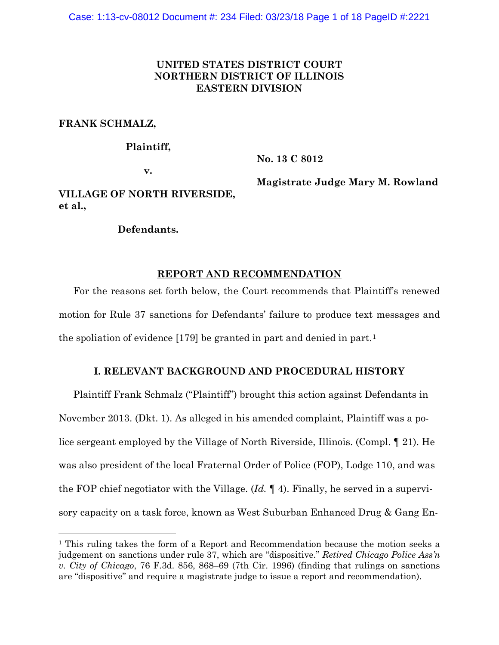# **UNITED STATES DISTRICT COURT NORTHERN DISTRICT OF ILLINOIS EASTERN DIVISION**

**FRANK SCHMALZ,**

**Plaintiff,**

**v.**

**No. 13 C 8012**

**VILLAGE OF NORTH RIVERSIDE, et al.,**

**Defendants.**

**Magistrate Judge Mary M. Rowland**

# **REPORT AND RECOMMENDATION**

For the reasons set forth below, the Court recommends that Plaintiff's renewed motion for Rule 37 sanctions for Defendants' failure to produce text messages and the spoliation of evidence [179] be granted in part and denied in part.[1](#page-0-0)

# **I. RELEVANT BACKGROUND AND PROCEDURAL HISTORY**

Plaintiff Frank Schmalz ("Plaintiff") brought this action against Defendants in November 2013. (Dkt. 1). As alleged in his amended complaint, Plaintiff was a police sergeant employed by the Village of North Riverside, Illinois. (Compl. ¶ 21). He was also president of the local Fraternal Order of Police (FOP), Lodge 110, and was the FOP chief negotiator with the Village. (*Id.* ¶ 4). Finally, he served in a supervisory capacity on a task force, known as West Suburban Enhanced Drug & Gang En-

<span id="page-0-0"></span><sup>&</sup>lt;sup>1</sup> This ruling takes the form of a Report and Recommendation because the motion seeks a judgement on sanctions under rule 37, which are "dispositive." *Retired Chicago Police Ass'n v. City of Chicago*, 76 F.3d. 856, 868–69 (7th Cir. 1996) (finding that rulings on sanctions are "dispositive" and require a magistrate judge to issue a report and recommendation).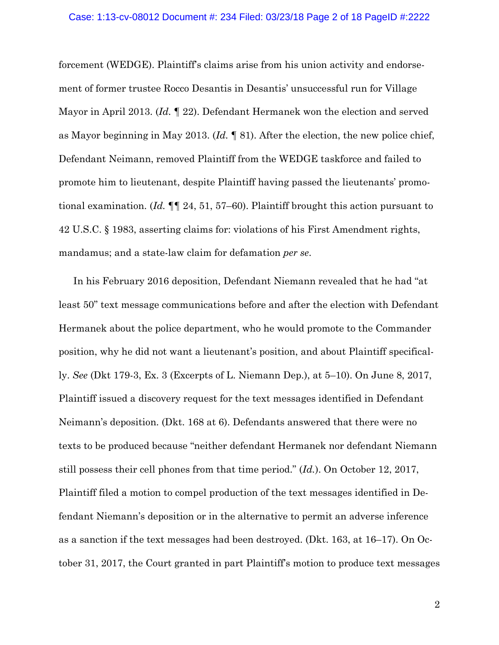#### Case: 1:13-cv-08012 Document #: 234 Filed: 03/23/18 Page 2 of 18 PageID #:2222

forcement (WEDGE). Plaintiff's claims arise from his union activity and endorsement of former trustee Rocco Desantis in Desantis' unsuccessful run for Village Mayor in April 2013. (*Id.* ¶ 22). Defendant Hermanek won the election and served as Mayor beginning in May 2013. (*Id.* ¶ 81). After the election, the new police chief, Defendant Neimann, removed Plaintiff from the WEDGE taskforce and failed to promote him to lieutenant, despite Plaintiff having passed the lieutenants' promotional examination. (*Id.* ¶¶ 24, 51, 57–60). Plaintiff brought this action pursuant to 42 U.S.C. § 1983, asserting claims for: violations of his First Amendment rights, mandamus; and a state-law claim for defamation *per se*.

In his February 2016 deposition, Defendant Niemann revealed that he had "at least 50" text message communications before and after the election with Defendant Hermanek about the police department, who he would promote to the Commander position, why he did not want a lieutenant's position, and about Plaintiff specifically. *See* (Dkt 179-3, Ex. 3 (Excerpts of L. Niemann Dep.), at 5–10). On June 8, 2017, Plaintiff issued a discovery request for the text messages identified in Defendant Neimann's deposition. (Dkt. 168 at 6). Defendants answered that there were no texts to be produced because "neither defendant Hermanek nor defendant Niemann still possess their cell phones from that time period." (*Id.*). On October 12, 2017, Plaintiff filed a motion to compel production of the text messages identified in Defendant Niemann's deposition or in the alternative to permit an adverse inference as a sanction if the text messages had been destroyed. (Dkt. 163, at 16–17). On October 31, 2017, the Court granted in part Plaintiff's motion to produce text messages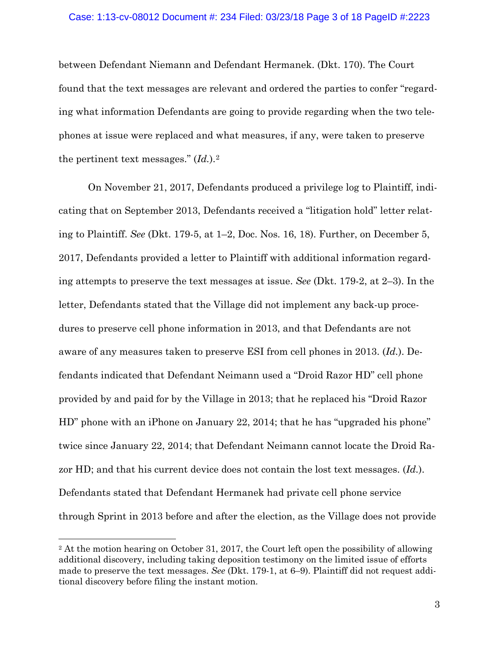### Case: 1:13-cv-08012 Document #: 234 Filed: 03/23/18 Page 3 of 18 PageID #:2223

between Defendant Niemann and Defendant Hermanek. (Dkt. 170). The Court found that the text messages are relevant and ordered the parties to confer "regarding what information Defendants are going to provide regarding when the two telephones at issue were replaced and what measures, if any, were taken to preserve the pertinent text messages." (*Id.*).[2](#page-2-0)

On November 21, 2017, Defendants produced a privilege log to Plaintiff, indicating that on September 2013, Defendants received a "litigation hold" letter relating to Plaintiff. *See* (Dkt. 179-5, at 1–2, Doc. Nos. 16, 18). Further, on December 5, 2017, Defendants provided a letter to Plaintiff with additional information regarding attempts to preserve the text messages at issue. *See* (Dkt. 179-2, at 2–3). In the letter, Defendants stated that the Village did not implement any back-up procedures to preserve cell phone information in 2013, and that Defendants are not aware of any measures taken to preserve ESI from cell phones in 2013. (*Id.*). Defendants indicated that Defendant Neimann used a "Droid Razor HD" cell phone provided by and paid for by the Village in 2013; that he replaced his "Droid Razor HD" phone with an iPhone on January 22, 2014; that he has "upgraded his phone" twice since January 22, 2014; that Defendant Neimann cannot locate the Droid Razor HD; and that his current device does not contain the lost text messages. (*Id.*). Defendants stated that Defendant Hermanek had private cell phone service through Sprint in 2013 before and after the election, as the Village does not provide

<span id="page-2-0"></span> $2$  At the motion hearing on October 31, 2017, the Court left open the possibility of allowing additional discovery, including taking deposition testimony on the limited issue of efforts made to preserve the text messages. *See* (Dkt. 179-1, at 6–9). Plaintiff did not request additional discovery before filing the instant motion.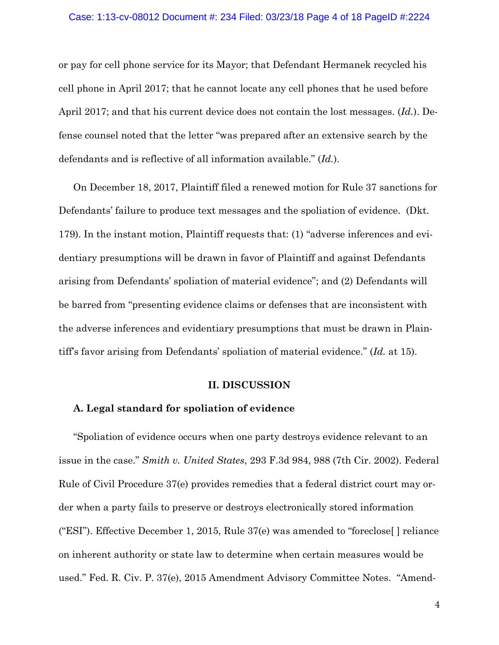#### Case: 1:13-cv-08012 Document #: 234 Filed: 03/23/18 Page 4 of 18 PageID #:2224

or pay for cell phone service for its Mayor; that Defendant Hermanek recycled his cell phone in April 2017; that he cannot locate any cell phones that he used before April 2017; and that his current device does not contain the lost messages. (*Id.*). Defense counsel noted that the letter "was prepared after an extensive search by the defendants and is reflective of all information available." (*Id.*).

On December 18, 2017, Plaintiff filed a renewed motion for Rule 37 sanctions for Defendants' failure to produce text messages and the spoliation of evidence. (Dkt. 179). In the instant motion, Plaintiff requests that: (1) "adverse inferences and evidentiary presumptions will be drawn in favor of Plaintiff and against Defendants arising from Defendants' spoliation of material evidence"; and (2) Defendants will be barred from "presenting evidence claims or defenses that are inconsistent with the adverse inferences and evidentiary presumptions that must be drawn in Plaintiff's favor arising from Defendants' spoliation of material evidence." (*Id.* at 15).

## **II. DISCUSSION**

## **A. Legal standard for spoliation of evidence**

"Spoliation of evidence occurs when one party destroys evidence relevant to an issue in the case." *Smith v. United States*, 293 F.3d 984, 988 (7th Cir. 2002). Federal Rule of Civil Procedure 37(e) provides remedies that a federal district court may order when a party fails to preserve or destroys electronically stored information ("ESI"). Effective December 1, 2015, Rule 37(e) was amended to "foreclose[ ] reliance on inherent authority or state law to determine when certain measures would be used." Fed. R. Civ. P. 37(e), 2015 Amendment Advisory Committee Notes. "Amend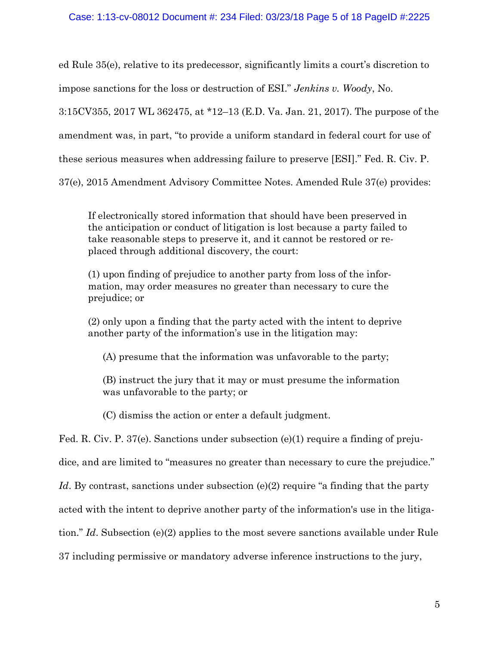ed Rule 35(e), relative to its predecessor, significantly limits a court's discretion to impose sanctions for the loss or destruction of ESI." *Jenkins v. Woody*, No.

3:15CV355, 2017 WL 362475, at \*12–13 (E.D. Va. Jan. 21, 2017). The purpose of the

amendment was, in part, "to provide a uniform standard in federal court for use of

these serious measures when addressing failure to preserve [ESI]." Fed. R. Civ. P.

37(e), 2015 Amendment Advisory Committee Notes. Amended Rule 37(e) provides:

If electronically stored information that should have been preserved in the anticipation or conduct of litigation is lost because a party failed to take reasonable steps to preserve it, and it cannot be restored or replaced through additional discovery, the court:

(1) upon finding of prejudice to another party from loss of the information, may order measures no greater than necessary to cure the prejudice; or

(2) only upon a finding that the party acted with the intent to deprive another party of the information's use in the litigation may:

(A) presume that the information was unfavorable to the party;

(B) instruct the jury that it may or must presume the information was unfavorable to the party; or

(C) dismiss the action or enter a default judgment.

Fed. R. Civ. P. 37(e). Sanctions under subsection (e)(1) require a finding of preju-

dice, and are limited to "measures no greater than necessary to cure the prejudice."

*Id*. By contrast, sanctions under subsection (e)(2) require "a finding that the party

acted with the intent to deprive another party of the information's use in the litiga-

tion." *Id*. Subsection (e)(2) applies to the most severe sanctions available under Rule

37 including permissive or mandatory adverse inference instructions to the jury,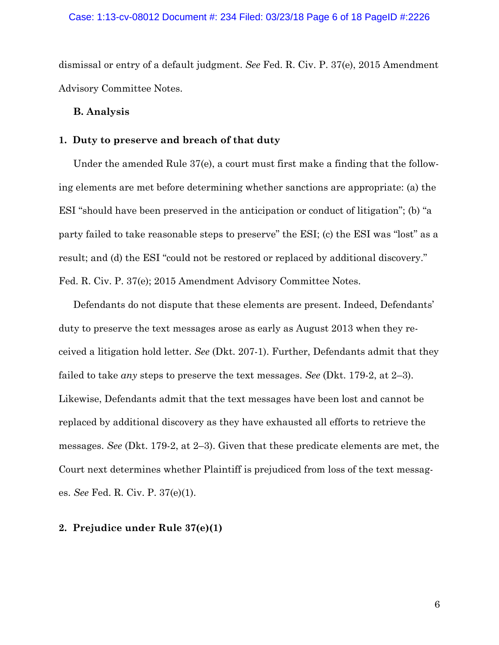dismissal or entry of a default judgment. *See* Fed. R. Civ. P. 37(e), 2015 Amendment Advisory Committee Notes.

## **B. Analysis**

## **1. Duty to preserve and breach of that duty**

Under the amended Rule 37(e), a court must first make a finding that the following elements are met before determining whether sanctions are appropriate: (a) the ESI "should have been preserved in the anticipation or conduct of litigation"; (b) "a party failed to take reasonable steps to preserve" the ESI; (c) the ESI was "lost" as a result; and (d) the ESI "could not be restored or replaced by additional discovery." Fed. R. Civ. P. 37(e); 2015 Amendment Advisory Committee Notes.

Defendants do not dispute that these elements are present. Indeed, Defendants' duty to preserve the text messages arose as early as August 2013 when they received a litigation hold letter. *See* (Dkt. 207-1). Further, Defendants admit that they failed to take *any* steps to preserve the text messages. *See* (Dkt. 179-2, at 2–3). Likewise, Defendants admit that the text messages have been lost and cannot be replaced by additional discovery as they have exhausted all efforts to retrieve the messages. *See* (Dkt. 179-2, at 2–3). Given that these predicate elements are met, the Court next determines whether Plaintiff is prejudiced from loss of the text messages. *See* Fed. R. Civ. P. 37(e)(1).

## **2. Prejudice under Rule 37(e)(1)**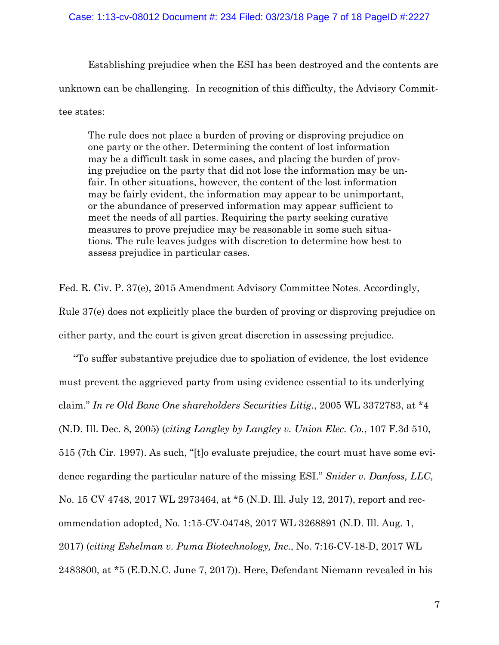### Case: 1:13-cv-08012 Document #: 234 Filed: 03/23/18 Page 7 of 18 PageID #:2227

Establishing prejudice when the ESI has been destroyed and the contents are unknown can be challenging. In recognition of this difficulty, the Advisory Committee states:

The rule does not place a burden of proving or disproving prejudice on one party or the other. Determining the content of lost information may be a difficult task in some cases, and placing the burden of proving prejudice on the party that did not lose the information may be unfair. In other situations, however, the content of the lost information may be fairly evident, the information may appear to be unimportant, or the abundance of preserved information may appear sufficient to meet the needs of all parties. Requiring the party seeking curative measures to prove prejudice may be reasonable in some such situations. The rule leaves judges with discretion to determine how best to assess prejudice in particular cases.

Fed. R. Civ. P. 37(e), 2015 Amendment Advisory Committee Notes. Accordingly, Rule 37(e) does not explicitly place the burden of proving or disproving prejudice on either party, and the court is given great discretion in assessing prejudice.

"To suffer substantive prejudice due to spoliation of evidence, the lost evidence must prevent the aggrieved party from using evidence essential to its underlying claim." *In re Old Banc One shareholders Securities Litig.*, 2005 WL 3372783, at \*4 (N.D. Ill. Dec. 8, 2005) (*citing Langley by Langley v. Union Elec. Co.*, 107 F.3d 510, 515 (7th Cir. 1997). As such, "[t]o evaluate prejudice, the court must have some evidence regarding the particular nature of the missing ESI." *Snider v. Danfoss, LLC*, No. 15 CV 4748, 2017 WL 2973464, at \*5 (N.D. Ill. July 12, 2017), report and recommendation adopted, No. 1:15-CV-04748, 2017 WL 3268891 (N.D. Ill. Aug. 1, 2017) (*citing Eshelman v. Puma Biotechnology, Inc*., No. 7:16-CV-18-D, 2017 WL 2483800, at \*5 (E.D.N.C. June 7, 2017)). Here, Defendant Niemann revealed in his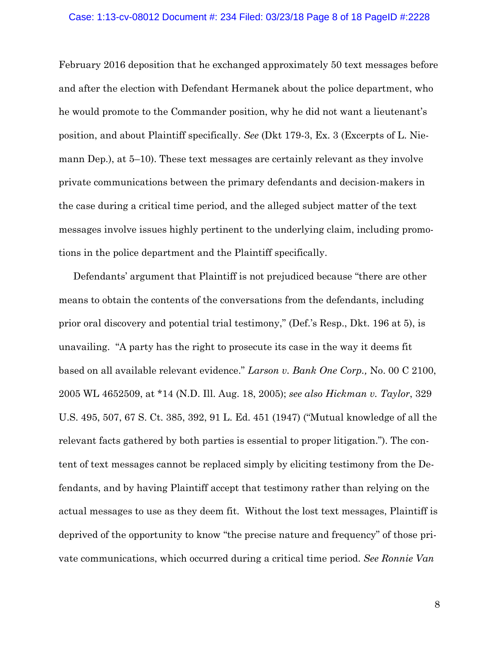#### Case: 1:13-cv-08012 Document #: 234 Filed: 03/23/18 Page 8 of 18 PageID #:2228

February 2016 deposition that he exchanged approximately 50 text messages before and after the election with Defendant Hermanek about the police department, who he would promote to the Commander position, why he did not want a lieutenant's position, and about Plaintiff specifically. *See* (Dkt 179-3, Ex. 3 (Excerpts of L. Niemann Dep.), at 5–10). These text messages are certainly relevant as they involve private communications between the primary defendants and decision-makers in the case during a critical time period, and the alleged subject matter of the text messages involve issues highly pertinent to the underlying claim, including promotions in the police department and the Plaintiff specifically.

Defendants' argument that Plaintiff is not prejudiced because "there are other means to obtain the contents of the conversations from the defendants, including prior oral discovery and potential trial testimony," (Def.'s Resp., Dkt. 196 at 5), is unavailing. "A party has the right to prosecute its case in the way it deems fit based on all available relevant evidence." *Larson v. Bank One Corp.,* No. 00 C 2100, 2005 WL 4652509, at \*14 (N.D. Ill. Aug. 18, 2005); *see also Hickman v. Taylor*, 329 U.S. 495, 507, 67 S. Ct. 385, 392, 91 L. Ed. 451 (1947) ("Mutual knowledge of all the relevant facts gathered by both parties is essential to proper litigation."). The content of text messages cannot be replaced simply by eliciting testimony from the Defendants, and by having Plaintiff accept that testimony rather than relying on the actual messages to use as they deem fit. Without the lost text messages, Plaintiff is deprived of the opportunity to know "the precise nature and frequency" of those private communications, which occurred during a critical time period. *See Ronnie Van*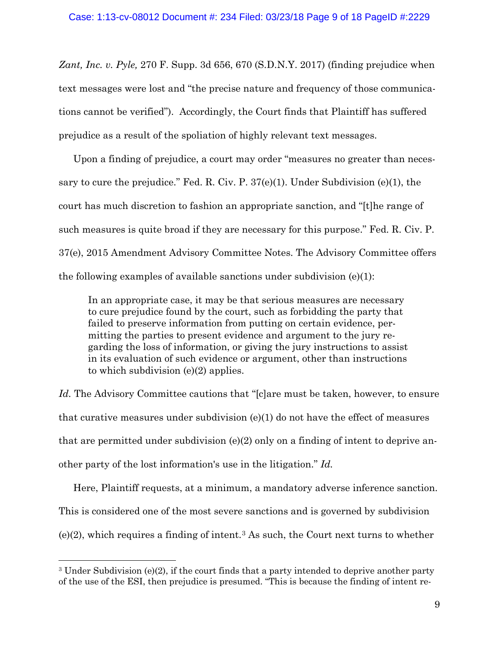*Zant, Inc. v. Pyle,* 270 F. Supp. 3d 656, 670 (S.D.N.Y. 2017) (finding prejudice when text messages were lost and "the precise nature and frequency of those communications cannot be verified"). Accordingly, the Court finds that Plaintiff has suffered prejudice as a result of the spoliation of highly relevant text messages.

Upon a finding of prejudice, a court may order "measures no greater than necessary to cure the prejudice." Fed. R. Civ. P. 37(e)(1). Under Subdivision (e)(1), the court has much discretion to fashion an appropriate sanction, and "[t]he range of such measures is quite broad if they are necessary for this purpose." Fed. R. Civ. P. 37(e), 2015 Amendment Advisory Committee Notes. The Advisory Committee offers the following examples of available sanctions under subdivision  $(e)(1)$ :

In an appropriate case, it may be that serious measures are necessary to cure prejudice found by the court, such as forbidding the party that failed to preserve information from putting on certain evidence, permitting the parties to present evidence and argument to the jury regarding the loss of information, or giving the jury instructions to assist in its evaluation of such evidence or argument, other than instructions to which subdivision (e)(2) applies.

*Id.* The Advisory Committee cautions that "[c]are must be taken, however, to ensure that curative measures under subdivision  $(e)(1)$  do not have the effect of measures that are permitted under subdivision (e)(2) only on a finding of intent to deprive another party of the lost information's use in the litigation." *Id.*

Here, Plaintiff requests, at a minimum, a mandatory adverse inference sanction. This is considered one of the most severe sanctions and is governed by subdivision  $(e)(2)$ , which requires a finding of intent.<sup>[3](#page-8-0)</sup> As such, the Court next turns to whether

<span id="page-8-0"></span><sup>&</sup>lt;sup>3</sup> Under Subdivision (e)(2), if the court finds that a party intended to deprive another party of the use of the ESI, then prejudice is presumed. "This is because the finding of intent re-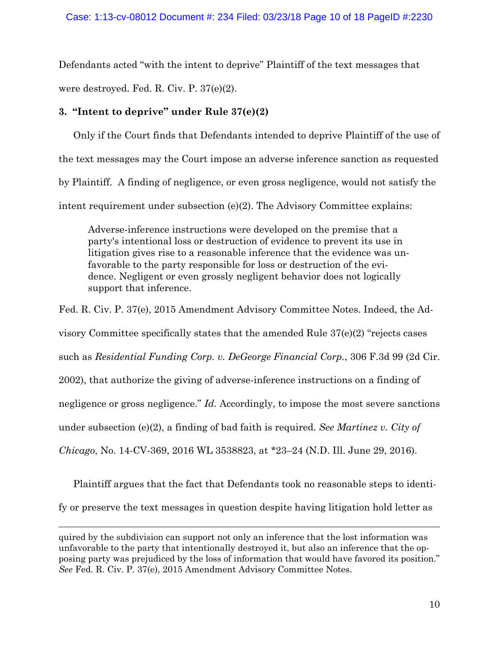Defendants acted "with the intent to deprive" Plaintiff of the text messages that were destroyed. Fed. R. Civ. P. 37(e)(2).

# **3. "Intent to deprive" under Rule 37(e)(2)**

 $\overline{a}$ 

Only if the Court finds that Defendants intended to deprive Plaintiff of the use of the text messages may the Court impose an adverse inference sanction as requested by Plaintiff. A finding of negligence, or even gross negligence, would not satisfy the intent requirement under subsection (e)(2). The Advisory Committee explains:

Adverse-inference instructions were developed on the premise that a party's intentional loss or destruction of evidence to prevent its use in litigation gives rise to a reasonable inference that the evidence was unfavorable to the party responsible for loss or destruction of the evidence. Negligent or even grossly negligent behavior does not logically support that inference.

Fed. R. Civ. P. 37(e), 2015 Amendment Advisory Committee Notes. Indeed, the Advisory Committee specifically states that the amended Rule 37(e)(2) "rejects cases such as *Residential Funding Corp. v. DeGeorge Financial Corp.*, 306 F.3d 99 (2d Cir. 2002), that authorize the giving of adverse-inference instructions on a finding of negligence or gross negligence." *Id.* Accordingly, to impose the most severe sanctions under subsection (e)(2), a finding of bad faith is required. *See Martinez v. City of Chicago*, No. 14-CV-369, 2016 WL 3538823, at \*23–24 (N.D. Ill. June 29, 2016).

Plaintiff argues that the fact that Defendants took no reasonable steps to identify or preserve the text messages in question despite having litigation hold letter as

quired by the subdivision can support not only an inference that the lost information was unfavorable to the party that intentionally destroyed it, but also an inference that the opposing party was prejudiced by the loss of information that would have favored its position." *See* Fed. R. Civ. P. 37(e), 2015 Amendment Advisory Committee Notes.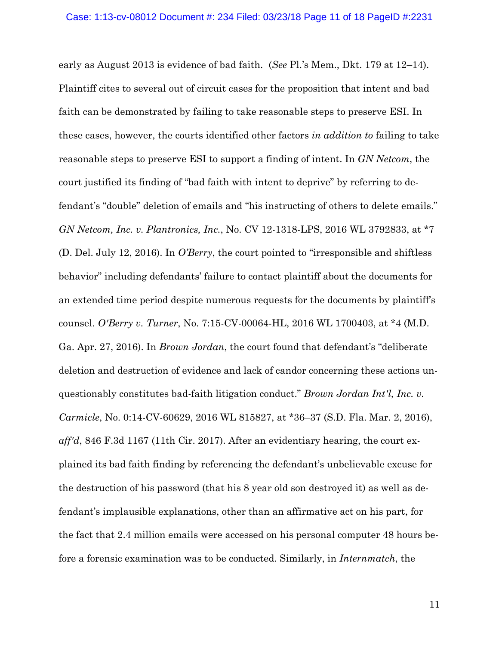early as August 2013 is evidence of bad faith. (*See* Pl.'s Mem., Dkt. 179 at 12–14). Plaintiff cites to several out of circuit cases for the proposition that intent and bad faith can be demonstrated by failing to take reasonable steps to preserve ESI. In these cases, however, the courts identified other factors *in addition to* failing to take reasonable steps to preserve ESI to support a finding of intent. In *GN Netcom*, the court justified its finding of "bad faith with intent to deprive" by referring to defendant's "double" deletion of emails and "his instructing of others to delete emails." *GN Netcom, Inc. v. Plantronics, Inc.*, No. CV 12-1318-LPS, 2016 WL 3792833, at \*7 (D. Del. July 12, 2016). In *O'Berry*, the court pointed to "irresponsible and shiftless behavior" including defendants' failure to contact plaintiff about the documents for an extended time period despite numerous requests for the documents by plaintiff's counsel. *O'Berry v. Turner*, No. 7:15-CV-00064-HL, 2016 WL 1700403, at \*4 (M.D. Ga. Apr. 27, 2016). In *Brown Jordan*, the court found that defendant's "deliberate deletion and destruction of evidence and lack of candor concerning these actions unquestionably constitutes bad-faith litigation conduct." *Brown Jordan Int'l, Inc. v. Carmicle*, No. 0:14-CV-60629, 2016 WL 815827, at \*36–37 (S.D. Fla. Mar. 2, 2016), *aff'd*, 846 F.3d 1167 (11th Cir. 2017). After an evidentiary hearing, the court explained its bad faith finding by referencing the defendant's unbelievable excuse for the destruction of his password (that his 8 year old son destroyed it) as well as defendant's implausible explanations, other than an affirmative act on his part, for the fact that 2.4 million emails were accessed on his personal computer 48 hours before a forensic examination was to be conducted. Similarly, in *Internmatch*, the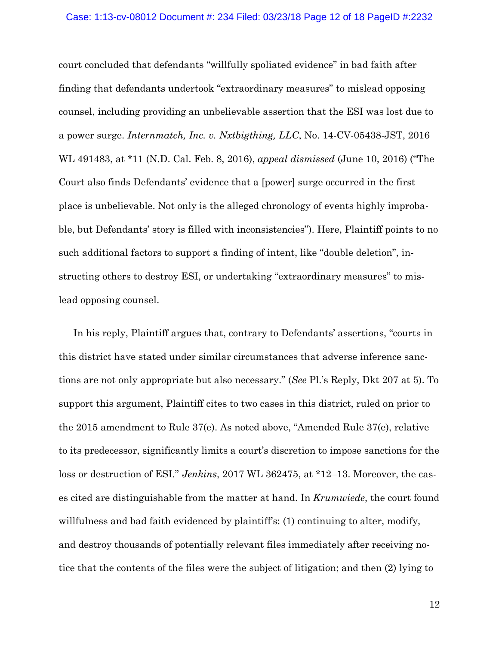court concluded that defendants "willfully spoliated evidence" in bad faith after finding that defendants undertook "extraordinary measures" to mislead opposing counsel, including providing an unbelievable assertion that the ESI was lost due to a power surge. *Internmatch, Inc. v. Nxtbigthing, LLC*, No. 14-CV-05438-JST, 2016 WL 491483, at \*11 (N.D. Cal. Feb. 8, 2016), *appeal dismissed* (June 10, 2016) ("The Court also finds Defendants' evidence that a [power] surge occurred in the first place is unbelievable. Not only is the alleged chronology of events highly improbable, but Defendants' story is filled with inconsistencies"). Here, Plaintiff points to no such additional factors to support a finding of intent, like "double deletion", instructing others to destroy ESI, or undertaking "extraordinary measures" to mislead opposing counsel.

In his reply, Plaintiff argues that, contrary to Defendants' assertions, "courts in this district have stated under similar circumstances that adverse inference sanctions are not only appropriate but also necessary." (*See* Pl.'s Reply, Dkt 207 at 5). To support this argument, Plaintiff cites to two cases in this district, ruled on prior to the 2015 amendment to Rule 37(e). As noted above, "Amended Rule 37(e), relative to its predecessor, significantly limits a court's discretion to impose sanctions for the loss or destruction of ESI." *Jenkins*, 2017 WL 362475, at \*12–13. Moreover, the cases cited are distinguishable from the matter at hand. In *Krumwiede*, the court found willfulness and bad faith evidenced by plaintiff's: (1) continuing to alter, modify, and destroy thousands of potentially relevant files immediately after receiving notice that the contents of the files were the subject of litigation; and then (2) lying to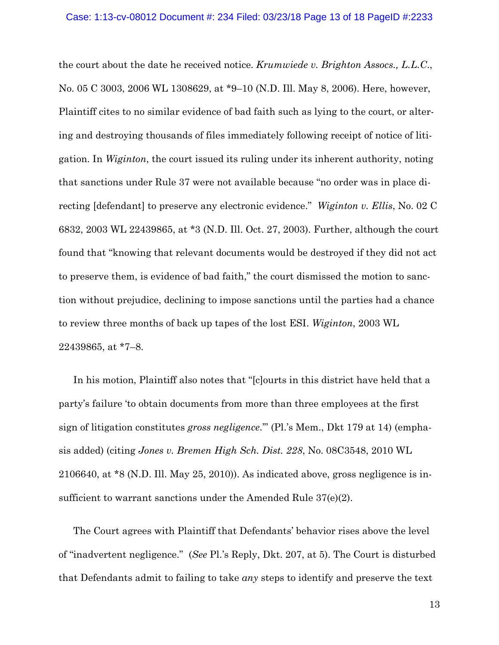the court about the date he received notice. *Krumwiede v. Brighton Assocs., L.L.C*., No. 05 C 3003, 2006 WL 1308629, at \*9–10 (N.D. Ill. May 8, 2006). Here, however, Plaintiff cites to no similar evidence of bad faith such as lying to the court, or altering and destroying thousands of files immediately following receipt of notice of litigation. In *Wiginton*, the court issued its ruling under its inherent authority, noting that sanctions under Rule 37 were not available because "no order was in place directing [defendant] to preserve any electronic evidence." *Wiginton v. Ellis*, No. 02 C 6832, 2003 WL 22439865, at \*3 (N.D. Ill. Oct. 27, 2003). Further, although the court found that "knowing that relevant documents would be destroyed if they did not act to preserve them, is evidence of bad faith," the court dismissed the motion to sanction without prejudice, declining to impose sanctions until the parties had a chance to review three months of back up tapes of the lost ESI. *Wiginton*, 2003 WL 22439865, at \*7–8.

In his motion, Plaintiff also notes that "[c]ourts in this district have held that a party's failure 'to obtain documents from more than three employees at the first sign of litigation constitutes *gross negligence*.'" (Pl.'s Mem., Dkt 179 at 14) (emphasis added) (citing *Jones v. Bremen High Sch. Dist. 228*, No. 08C3548, 2010 WL 2106640, at \*8 (N.D. Ill. May 25, 2010)). As indicated above, gross negligence is insufficient to warrant sanctions under the Amended Rule 37(e)(2).

The Court agrees with Plaintiff that Defendants' behavior rises above the level of "inadvertent negligence." (*See* Pl.'s Reply, Dkt. 207, at 5). The Court is disturbed that Defendants admit to failing to take *any* steps to identify and preserve the text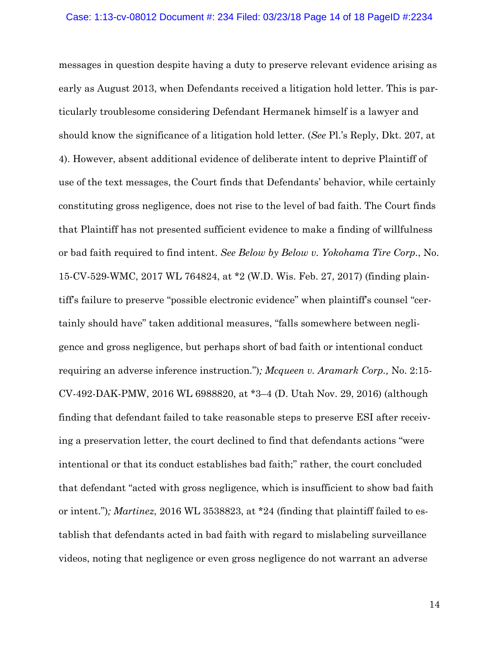messages in question despite having a duty to preserve relevant evidence arising as early as August 2013, when Defendants received a litigation hold letter. This is particularly troublesome considering Defendant Hermanek himself is a lawyer and should know the significance of a litigation hold letter. (*See* Pl.'s Reply, Dkt. 207, at 4). However, absent additional evidence of deliberate intent to deprive Plaintiff of use of the text messages, the Court finds that Defendants' behavior, while certainly constituting gross negligence, does not rise to the level of bad faith. The Court finds that Plaintiff has not presented sufficient evidence to make a finding of willfulness or bad faith required to find intent. *See Below by Below v. Yokohama Tire Corp*., No. 15-CV-529-WMC, 2017 WL 764824, at \*2 (W.D. Wis. Feb. 27, 2017) (finding plaintiff's failure to preserve "possible electronic evidence" when plaintiff's counsel "certainly should have" taken additional measures, "falls somewhere between negligence and gross negligence, but perhaps short of bad faith or intentional conduct requiring an adverse inference instruction.")*; Mcqueen v. Aramark Corp.,* No. 2:15- CV-492-DAK-PMW, 2016 WL 6988820, at \*3–4 (D. Utah Nov. 29, 2016) (although finding that defendant failed to take reasonable steps to preserve ESI after receiving a preservation letter, the court declined to find that defendants actions "were intentional or that its conduct establishes bad faith;" rather, the court concluded that defendant "acted with gross negligence, which is insufficient to show bad faith or intent.")*; Martinez*, 2016 WL 3538823, at \*24 (finding that plaintiff failed to establish that defendants acted in bad faith with regard to mislabeling surveillance videos, noting that negligence or even gross negligence do not warrant an adverse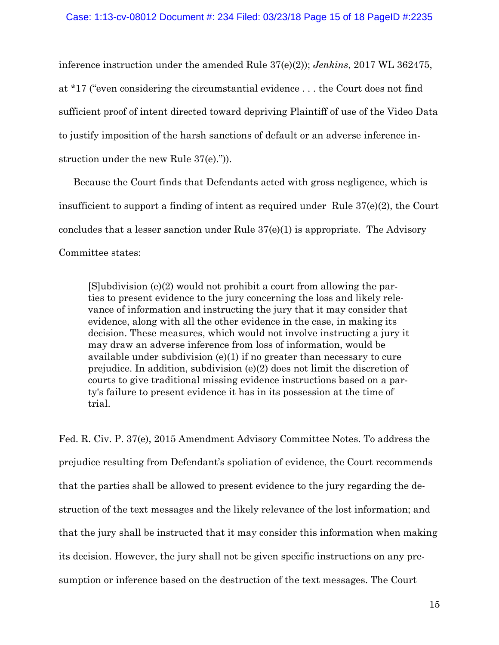inference instruction under the amended Rule 37(e)(2)); *Jenkins*, 2017 WL 362475, at \*17 ("even considering the circumstantial evidence . . . the Court does not find sufficient proof of intent directed toward depriving Plaintiff of use of the Video Data to justify imposition of the harsh sanctions of default or an adverse inference instruction under the new Rule 37(e).")).

Because the Court finds that Defendants acted with gross negligence, which is insufficient to support a finding of intent as required under Rule 37(e)(2), the Court concludes that a lesser sanction under Rule 37(e)(1) is appropriate. The Advisory Committee states:

[S]ubdivision (e)(2) would not prohibit a court from allowing the parties to present evidence to the jury concerning the loss and likely relevance of information and instructing the jury that it may consider that evidence, along with all the other evidence in the case, in making its decision. These measures, which would not involve instructing a jury it may draw an adverse inference from loss of information, would be available under subdivision (e)(1) if no greater than necessary to cure prejudice. In addition, subdivision (e)(2) does not limit the discretion of courts to give traditional missing evidence instructions based on a party's failure to present evidence it has in its possession at the time of trial.

Fed. R. Civ. P. 37(e), 2015 Amendment Advisory Committee Notes. To address the prejudice resulting from Defendant's spoliation of evidence, the Court recommends that the parties shall be allowed to present evidence to the jury regarding the destruction of the text messages and the likely relevance of the lost information; and that the jury shall be instructed that it may consider this information when making its decision. However, the jury shall not be given specific instructions on any presumption or inference based on the destruction of the text messages. The Court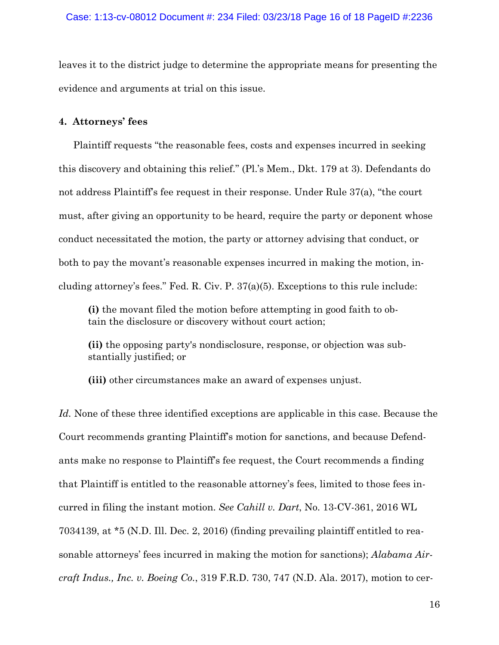leaves it to the district judge to determine the appropriate means for presenting the evidence and arguments at trial on this issue.

# **4. Attorneys' fees**

Plaintiff requests "the reasonable fees, costs and expenses incurred in seeking this discovery and obtaining this relief." (Pl.'s Mem., Dkt. 179 at 3). Defendants do not address Plaintiff's fee request in their response. Under Rule 37(a), "the court must, after giving an opportunity to be heard, require the party or deponent whose conduct necessitated the motion, the party or attorney advising that conduct, or both to pay the movant's reasonable expenses incurred in making the motion, including attorney's fees." Fed. R. Civ. P. 37(a)(5). Exceptions to this rule include:

**(i)** the movant filed the motion before attempting in good faith to obtain the disclosure or discovery without court action;

**(ii)** the opposing party's nondisclosure, response, or objection was substantially justified; or

**(iii)** other circumstances make an award of expenses unjust.

*Id.* None of these three identified exceptions are applicable in this case. Because the Court recommends granting Plaintiff's motion for sanctions, and because Defendants make no response to Plaintiff's fee request, the Court recommends a finding that Plaintiff is entitled to the reasonable attorney's fees, limited to those fees incurred in filing the instant motion. *See Cahill v. Dart*, No. 13-CV-361, 2016 WL 7034139, at \*5 (N.D. Ill. Dec. 2, 2016) (finding prevailing plaintiff entitled to reasonable attorneys' fees incurred in making the motion for sanctions); *Alabama Aircraft Indus., Inc. v. Boeing Co.*, 319 F.R.D. 730, 747 (N.D. Ala. 2017), motion to cer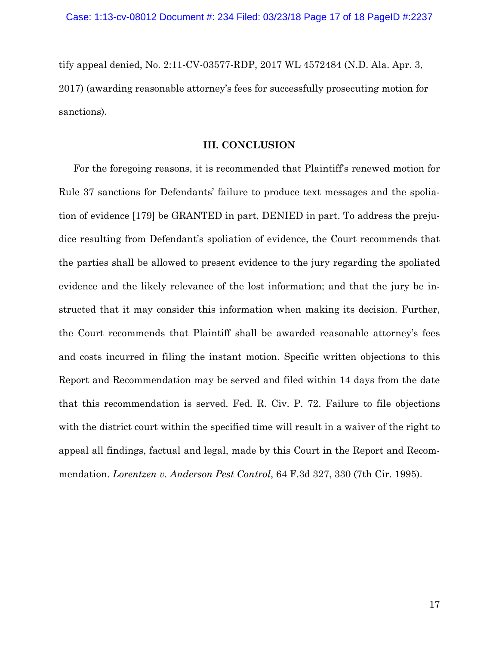tify appeal denied, No. 2:11-CV-03577-RDP, 2017 WL 4572484 (N.D. Ala. Apr. 3, 2017) (awarding reasonable attorney's fees for successfully prosecuting motion for sanctions).

# **III. CONCLUSION**

For the foregoing reasons, it is recommended that Plaintiff's renewed motion for Rule 37 sanctions for Defendants' failure to produce text messages and the spoliation of evidence [179] be GRANTED in part, DENIED in part. To address the prejudice resulting from Defendant's spoliation of evidence, the Court recommends that the parties shall be allowed to present evidence to the jury regarding the spoliated evidence and the likely relevance of the lost information; and that the jury be instructed that it may consider this information when making its decision. Further, the Court recommends that Plaintiff shall be awarded reasonable attorney's fees and costs incurred in filing the instant motion. Specific written objections to this Report and Recommendation may be served and filed within 14 days from the date that this recommendation is served. Fed. R. Civ. P. 72. Failure to file objections with the district court within the specified time will result in a waiver of the right to appeal all findings, factual and legal, made by this Court in the Report and Recommendation. *Lorentzen v. Anderson Pest Control*, 64 F.3d 327, 330 (7th Cir. 1995).